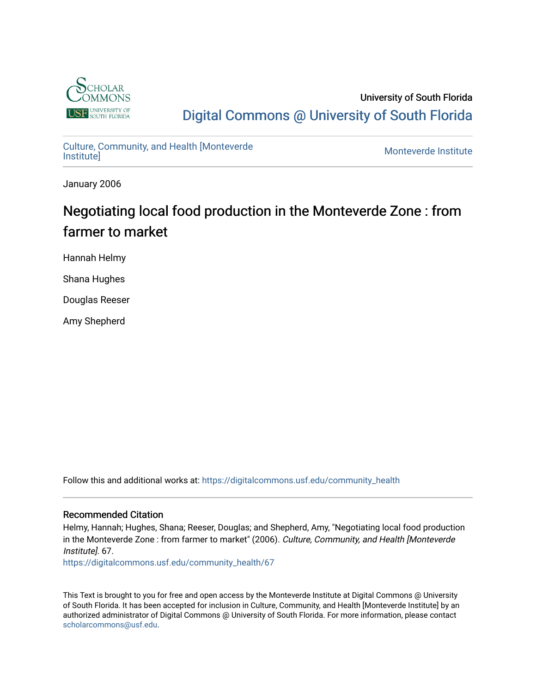

University of South Florida [Digital Commons @ University of South Florida](https://digitalcommons.usf.edu/) 

# [Culture, Community, and Health \[Monteverde](https://digitalcommons.usf.edu/community_health) [Institute\]](https://digitalcommons.usf.edu/community_health) [Monteverde Institute](https://digitalcommons.usf.edu/monteverde)

January 2006

# Negotiating local food production in the Monteverde Zone : from farmer to market

Hannah Helmy

Shana Hughes

Douglas Reeser

Amy Shepherd

Follow this and additional works at: [https://digitalcommons.usf.edu/community\\_health](https://digitalcommons.usf.edu/community_health?utm_source=digitalcommons.usf.edu%2Fcommunity_health%2F67&utm_medium=PDF&utm_campaign=PDFCoverPages) 

#### Recommended Citation

Helmy, Hannah; Hughes, Shana; Reeser, Douglas; and Shepherd, Amy, "Negotiating local food production in the Monteverde Zone : from farmer to market" (2006). Culture, Community, and Health [Monteverde Institute]. 67.

[https://digitalcommons.usf.edu/community\\_health/67](https://digitalcommons.usf.edu/community_health/67?utm_source=digitalcommons.usf.edu%2Fcommunity_health%2F67&utm_medium=PDF&utm_campaign=PDFCoverPages) 

This Text is brought to you for free and open access by the Monteverde Institute at Digital Commons @ University of South Florida. It has been accepted for inclusion in Culture, Community, and Health [Monteverde Institute] by an authorized administrator of Digital Commons @ University of South Florida. For more information, please contact [scholarcommons@usf.edu.](mailto:scholarcommons@usf.edu)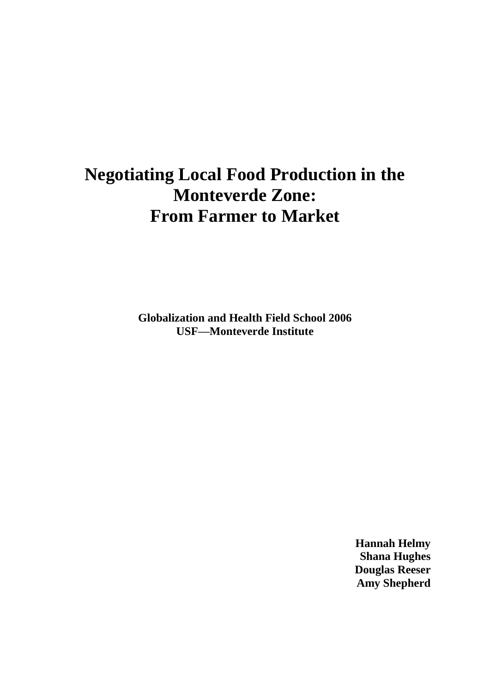# **Negotiating Local Food Production in the Monteverde Zone: From Farmer to Market**

**Globalization and Health Field School 2006 USF—Monteverde Institute**

> **Hannah Helmy Shana Hughes Douglas Reeser Amy Shepherd**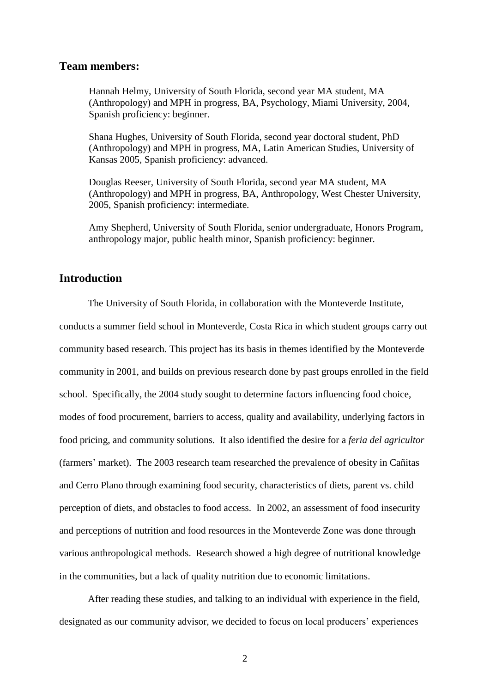#### **Team members:**

Hannah Helmy, University of South Florida, second year MA student, MA (Anthropology) and MPH in progress, BA, Psychology, Miami University, 2004, Spanish proficiency: beginner.

Shana Hughes, University of South Florida, second year doctoral student, PhD (Anthropology) and MPH in progress, MA, Latin American Studies, University of Kansas 2005, Spanish proficiency: advanced.

Douglas Reeser, University of South Florida, second year MA student, MA (Anthropology) and MPH in progress, BA, Anthropology, West Chester University, 2005, Spanish proficiency: intermediate.

Amy Shepherd, University of South Florida, senior undergraduate, Honors Program, anthropology major, public health minor, Spanish proficiency: beginner.

### **Introduction**

The University of South Florida, in collaboration with the Monteverde Institute,

conducts a summer field school in Monteverde, Costa Rica in which student groups carry out community based research. This project has its basis in themes identified by the Monteverde community in 2001, and builds on previous research done by past groups enrolled in the field school. Specifically, the 2004 study sought to determine factors influencing food choice, modes of food procurement, barriers to access, quality and availability, underlying factors in food pricing, and community solutions. It also identified the desire for a *feria del agricultor* (farmers' market). The 2003 research team researched the prevalence of obesity in Cañitas and Cerro Plano through examining food security, characteristics of diets, parent vs. child perception of diets, and obstacles to food access. In 2002, an assessment of food insecurity and perceptions of nutrition and food resources in the Monteverde Zone was done through various anthropological methods. Research showed a high degree of nutritional knowledge in the communities, but a lack of quality nutrition due to economic limitations.

After reading these studies, and talking to an individual with experience in the field, designated as our community advisor, we decided to focus on local producers' experiences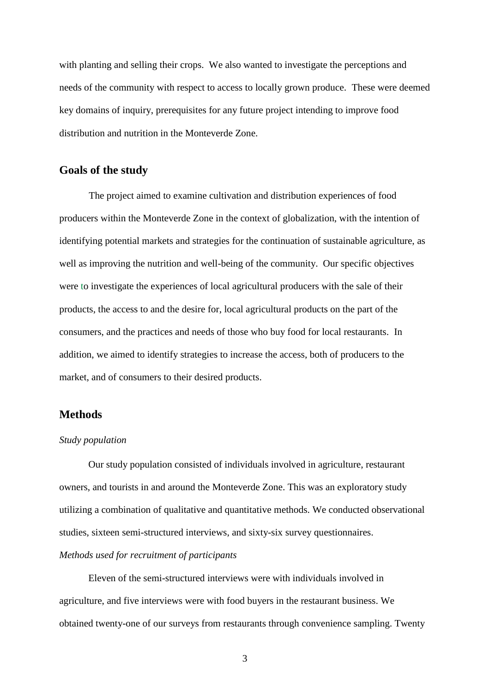with planting and selling their crops. We also wanted to investigate the perceptions and needs of the community with respect to access to locally grown produce. These were deemed key domains of inquiry, prerequisites for any future project intending to improve food distribution and nutrition in the Monteverde Zone.

#### **Goals of the study**

The project aimed to examine cultivation and distribution experiences of food producers within the Monteverde Zone in the context of globalization, with the intention of identifying potential markets and strategies for the continuation of sustainable agriculture, as well as improving the nutrition and well-being of the community. Our specific objectives were to investigate the experiences of local agricultural producers with the sale of their products, the access to and the desire for, local agricultural products on the part of the consumers, and the practices and needs of those who buy food for local restaurants. In addition, we aimed to identify strategies to increase the access, both of producers to the market, and of consumers to their desired products.

#### **Methods**

#### *Study population*

Our study population consisted of individuals involved in agriculture, restaurant owners, and tourists in and around the Monteverde Zone. This was an exploratory study utilizing a combination of qualitative and quantitative methods. We conducted observational studies, sixteen semi-structured interviews, and sixty-six survey questionnaires. *Methods used for recruitment of participants*

Eleven of the semi-structured interviews were with individuals involved in agriculture, and five interviews were with food buyers in the restaurant business. We obtained twenty-one of our surveys from restaurants through convenience sampling. Twenty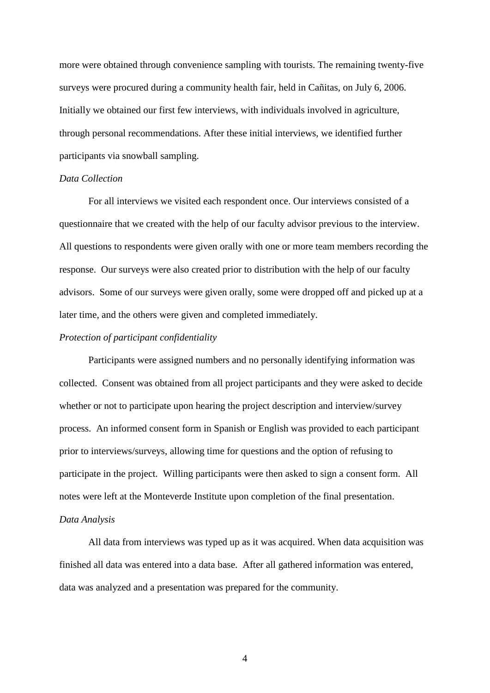more were obtained through convenience sampling with tourists. The remaining twenty-five surveys were procured during a community health fair, held in Cañitas, on July 6, 2006. Initially we obtained our first few interviews, with individuals involved in agriculture, through personal recommendations. After these initial interviews, we identified further participants via snowball sampling.

#### *Data Collection*

For all interviews we visited each respondent once. Our interviews consisted of a questionnaire that we created with the help of our faculty advisor previous to the interview. All questions to respondents were given orally with one or more team members recording the response. Our surveys were also created prior to distribution with the help of our faculty advisors. Some of our surveys were given orally, some were dropped off and picked up at a later time, and the others were given and completed immediately.

#### *Protection of participant confidentiality*

Participants were assigned numbers and no personally identifying information was collected. Consent was obtained from all project participants and they were asked to decide whether or not to participate upon hearing the project description and interview/survey process. An informed consent form in Spanish or English was provided to each participant prior to interviews/surveys, allowing time for questions and the option of refusing to participate in the project. Willing participants were then asked to sign a consent form. All notes were left at the Monteverde Institute upon completion of the final presentation. *Data Analysis*

All data from interviews was typed up as it was acquired. When data acquisition was finished all data was entered into a data base. After all gathered information was entered, data was analyzed and a presentation was prepared for the community.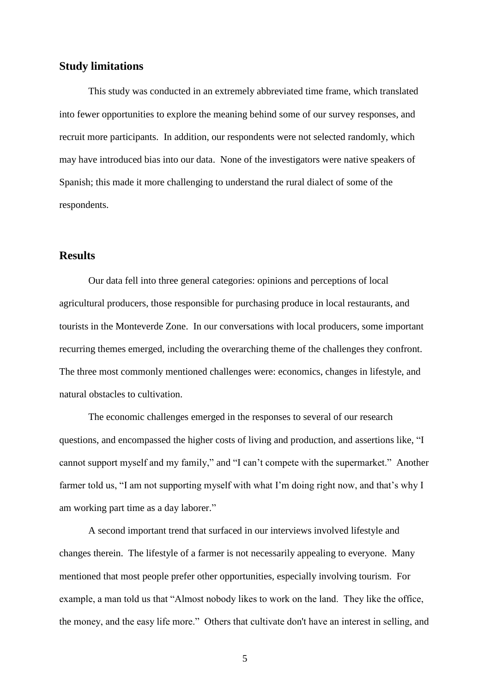#### **Study limitations**

This study was conducted in an extremely abbreviated time frame, which translated into fewer opportunities to explore the meaning behind some of our survey responses, and recruit more participants. In addition, our respondents were not selected randomly, which may have introduced bias into our data. None of the investigators were native speakers of Spanish; this made it more challenging to understand the rural dialect of some of the respondents.

### **Results**

Our data fell into three general categories: opinions and perceptions of local agricultural producers, those responsible for purchasing produce in local restaurants, and tourists in the Monteverde Zone. In our conversations with local producers, some important recurring themes emerged, including the overarching theme of the challenges they confront. The three most commonly mentioned challenges were: economics, changes in lifestyle, and natural obstacles to cultivation.

The economic challenges emerged in the responses to several of our research questions, and encompassed the higher costs of living and production, and assertions like, "I cannot support myself and my family," and "I can't compete with the supermarket." Another farmer told us, "I am not supporting myself with what I'm doing right now, and that's why I am working part time as a day laborer."

A second important trend that surfaced in our interviews involved lifestyle and changes therein. The lifestyle of a farmer is not necessarily appealing to everyone. Many mentioned that most people prefer other opportunities, especially involving tourism. For example, a man told us that "Almost nobody likes to work on the land. They like the office, the money, and the easy life more." Others that cultivate don't have an interest in selling, and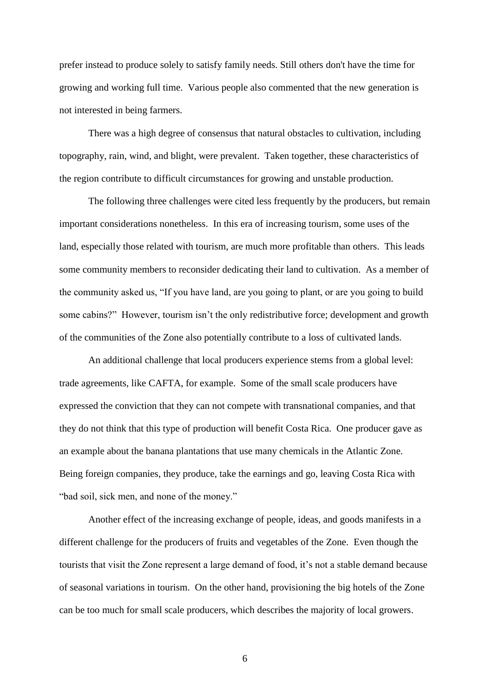prefer instead to produce solely to satisfy family needs. Still others don't have the time for growing and working full time. Various people also commented that the new generation is not interested in being farmers.

There was a high degree of consensus that natural obstacles to cultivation, including topography, rain, wind, and blight, were prevalent. Taken together, these characteristics of the region contribute to difficult circumstances for growing and unstable production.

The following three challenges were cited less frequently by the producers, but remain important considerations nonetheless. In this era of increasing tourism, some uses of the land, especially those related with tourism, are much more profitable than others. This leads some community members to reconsider dedicating their land to cultivation. As a member of the community asked us, "If you have land, are you going to plant, or are you going to build some cabins?" However, tourism isn't the only redistributive force; development and growth of the communities of the Zone also potentially contribute to a loss of cultivated lands.

An additional challenge that local producers experience stems from a global level: trade agreements, like CAFTA, for example. Some of the small scale producers have expressed the conviction that they can not compete with transnational companies, and that they do not think that this type of production will benefit Costa Rica. One producer gave as an example about the banana plantations that use many chemicals in the Atlantic Zone. Being foreign companies, they produce, take the earnings and go, leaving Costa Rica with "bad soil, sick men, and none of the money."

Another effect of the increasing exchange of people, ideas, and goods manifests in a different challenge for the producers of fruits and vegetables of the Zone. Even though the tourists that visit the Zone represent a large demand of food, it's not a stable demand because of seasonal variations in tourism. On the other hand, provisioning the big hotels of the Zone can be too much for small scale producers, which describes the majority of local growers.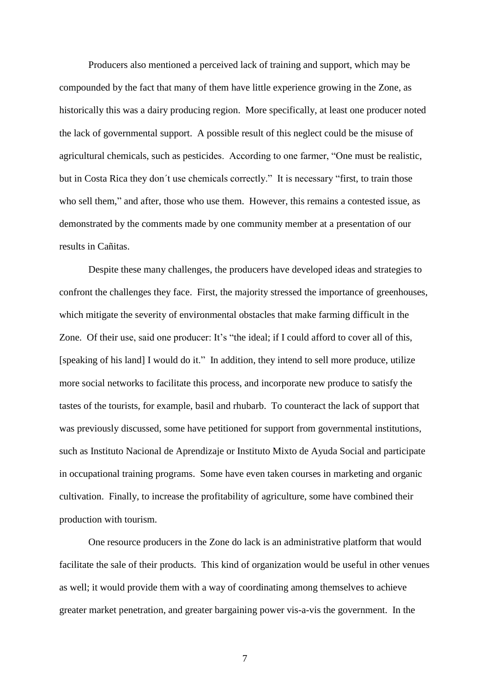Producers also mentioned a perceived lack of training and support, which may be compounded by the fact that many of them have little experience growing in the Zone, as historically this was a dairy producing region. More specifically, at least one producer noted the lack of governmental support. A possible result of this neglect could be the misuse of agricultural chemicals, such as pesticides. According to one farmer, "One must be realistic, but in Costa Rica they don´t use chemicals correctly." It is necessary "first, to train those who sell them," and after, those who use them. However, this remains a contested issue, as demonstrated by the comments made by one community member at a presentation of our results in Cañitas.

Despite these many challenges, the producers have developed ideas and strategies to confront the challenges they face. First, the majority stressed the importance of greenhouses, which mitigate the severity of environmental obstacles that make farming difficult in the Zone. Of their use, said one producer: It's "the ideal; if I could afford to cover all of this, [speaking of his land] I would do it." In addition, they intend to sell more produce, utilize more social networks to facilitate this process, and incorporate new produce to satisfy the tastes of the tourists, for example, basil and rhubarb. To counteract the lack of support that was previously discussed, some have petitioned for support from governmental institutions, such as Instituto Nacional de Aprendizaje or Instituto Mixto de Ayuda Social and participate in occupational training programs. Some have even taken courses in marketing and organic cultivation. Finally, to increase the profitability of agriculture, some have combined their production with tourism.

One resource producers in the Zone do lack is an administrative platform that would facilitate the sale of their products. This kind of organization would be useful in other venues as well; it would provide them with a way of coordinating among themselves to achieve greater market penetration, and greater bargaining power vis-a-vis the government. In the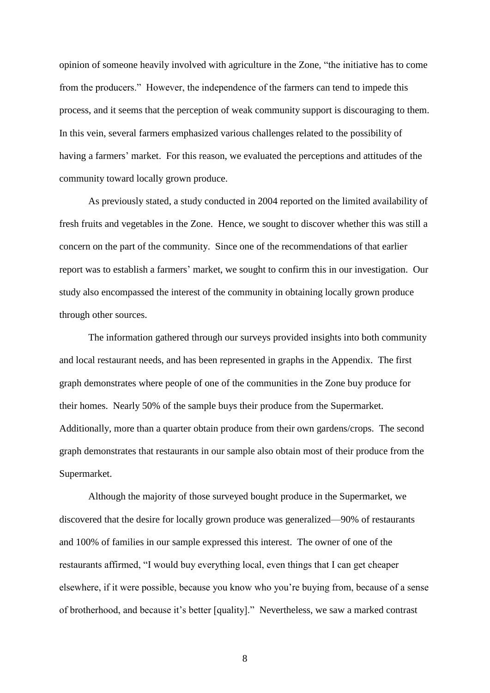opinion of someone heavily involved with agriculture in the Zone, "the initiative has to come from the producers." However, the independence of the farmers can tend to impede this process, and it seems that the perception of weak community support is discouraging to them. In this vein, several farmers emphasized various challenges related to the possibility of having a farmers' market. For this reason, we evaluated the perceptions and attitudes of the community toward locally grown produce.

As previously stated, a study conducted in 2004 reported on the limited availability of fresh fruits and vegetables in the Zone. Hence, we sought to discover whether this was still a concern on the part of the community. Since one of the recommendations of that earlier report was to establish a farmers' market, we sought to confirm this in our investigation. Our study also encompassed the interest of the community in obtaining locally grown produce through other sources.

The information gathered through our surveys provided insights into both community and local restaurant needs, and has been represented in graphs in the Appendix. The first graph demonstrates where people of one of the communities in the Zone buy produce for their homes. Nearly 50% of the sample buys their produce from the Supermarket. Additionally, more than a quarter obtain produce from their own gardens/crops. The second graph demonstrates that restaurants in our sample also obtain most of their produce from the Supermarket.

Although the majority of those surveyed bought produce in the Supermarket, we discovered that the desire for locally grown produce was generalized—90% of restaurants and 100% of families in our sample expressed this interest. The owner of one of the restaurants affirmed, "I would buy everything local, even things that I can get cheaper elsewhere, if it were possible, because you know who you're buying from, because of a sense of brotherhood, and because it's better [quality]." Nevertheless, we saw a marked contrast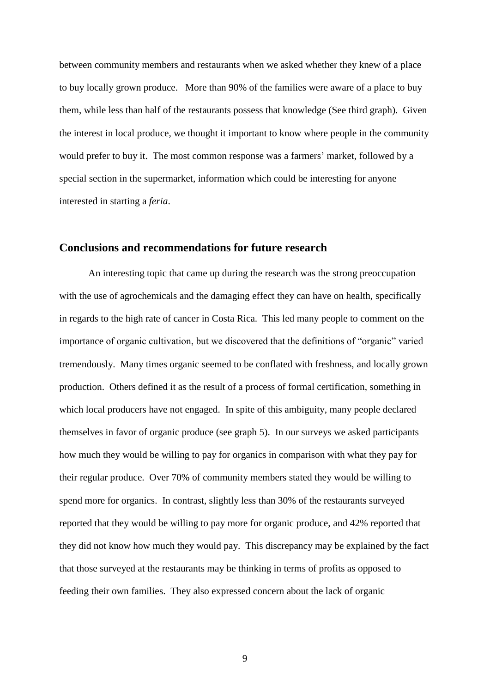between community members and restaurants when we asked whether they knew of a place to buy locally grown produce. More than 90% of the families were aware of a place to buy them, while less than half of the restaurants possess that knowledge (See third graph). Given the interest in local produce, we thought it important to know where people in the community would prefer to buy it. The most common response was a farmers' market, followed by a special section in the supermarket, information which could be interesting for anyone interested in starting a *feria*.

#### **Conclusions and recommendations for future research**

An interesting topic that came up during the research was the strong preoccupation with the use of agrochemicals and the damaging effect they can have on health, specifically in regards to the high rate of cancer in Costa Rica. This led many people to comment on the importance of organic cultivation, but we discovered that the definitions of "organic" varied tremendously. Many times organic seemed to be conflated with freshness, and locally grown production. Others defined it as the result of a process of formal certification, something in which local producers have not engaged. In spite of this ambiguity, many people declared themselves in favor of organic produce (see graph 5). In our surveys we asked participants how much they would be willing to pay for organics in comparison with what they pay for their regular produce. Over 70% of community members stated they would be willing to spend more for organics. In contrast, slightly less than 30% of the restaurants surveyed reported that they would be willing to pay more for organic produce, and 42% reported that they did not know how much they would pay. This discrepancy may be explained by the fact that those surveyed at the restaurants may be thinking in terms of profits as opposed to feeding their own families. They also expressed concern about the lack of organic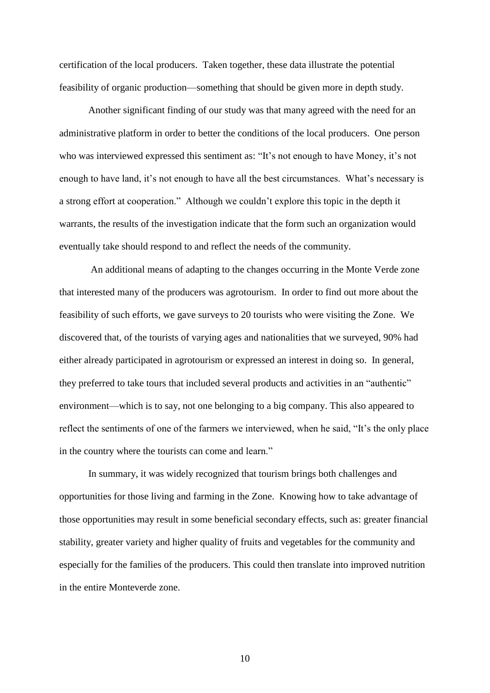certification of the local producers. Taken together, these data illustrate the potential feasibility of organic production—something that should be given more in depth study.

Another significant finding of our study was that many agreed with the need for an administrative platform in order to better the conditions of the local producers. One person who was interviewed expressed this sentiment as: "It's not enough to have Money, it's not enough to have land, it's not enough to have all the best circumstances. What's necessary is a strong effort at cooperation." Although we couldn't explore this topic in the depth it warrants, the results of the investigation indicate that the form such an organization would eventually take should respond to and reflect the needs of the community.

An additional means of adapting to the changes occurring in the Monte Verde zone that interested many of the producers was agrotourism. In order to find out more about the feasibility of such efforts, we gave surveys to 20 tourists who were visiting the Zone. We discovered that, of the tourists of varying ages and nationalities that we surveyed, 90% had either already participated in agrotourism or expressed an interest in doing so. In general, they preferred to take tours that included several products and activities in an "authentic" environment—which is to say, not one belonging to a big company. This also appeared to reflect the sentiments of one of the farmers we interviewed, when he said, "It's the only place in the country where the tourists can come and learn."

In summary, it was widely recognized that tourism brings both challenges and opportunities for those living and farming in the Zone. Knowing how to take advantage of those opportunities may result in some beneficial secondary effects, such as: greater financial stability, greater variety and higher quality of fruits and vegetables for the community and especially for the families of the producers. This could then translate into improved nutrition in the entire Monteverde zone.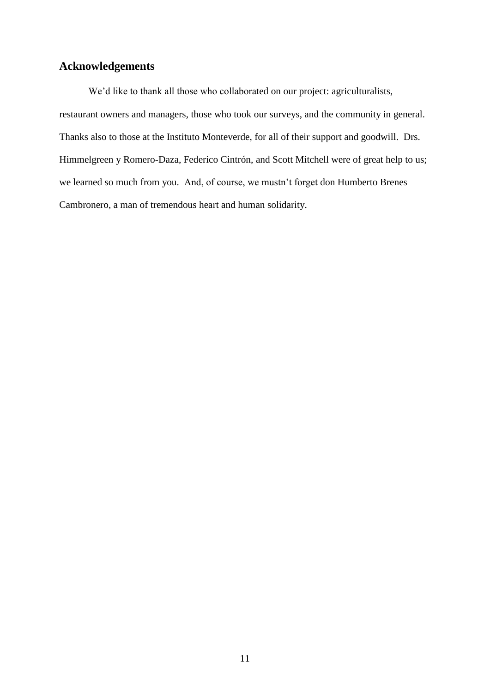## **Acknowledgements**

We'd like to thank all those who collaborated on our project: agriculturalists, restaurant owners and managers, those who took our surveys, and the community in general. Thanks also to those at the Instituto Monteverde, for all of their support and goodwill. Drs. Himmelgreen y Romero-Daza, Federico Cintrón, and Scott Mitchell were of great help to us; we learned so much from you. And, of course, we mustn't forget don Humberto Brenes Cambronero, a man of tremendous heart and human solidarity.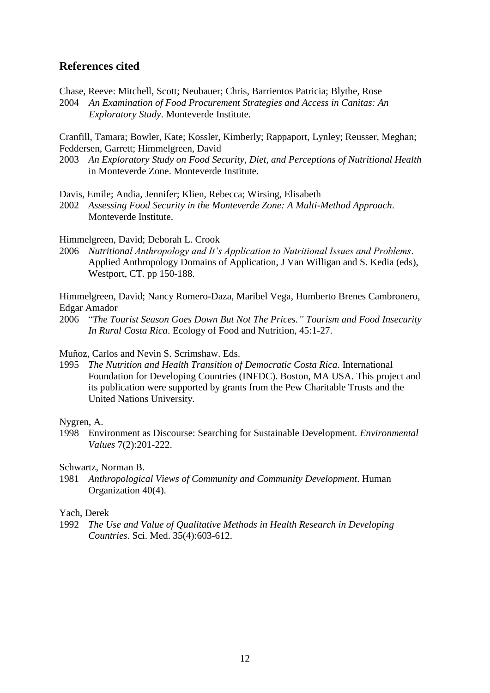## **References cited**

Chase, Reeve: Mitchell, Scott; Neubauer; Chris, Barrientos Patricia; Blythe, Rose

2004 *An Examination of Food Procurement Strategies and Access in Canitas: An Exploratory Study*. Monteverde Institute.

Cranfill, Tamara; Bowler, Kate; Kossler, Kimberly; Rappaport, Lynley; Reusser, Meghan; Feddersen, Garrett; Himmelgreen, David

2003 *An Exploratory Study on Food Security, Diet, and Perceptions of Nutritional Health* in Monteverde Zone. Monteverde Institute.

Davis, Emile; Andia, Jennifer; Klien, Rebecca; Wirsing, Elisabeth

2002 *Assessing Food Security in the Monteverde Zone: A Multi-Method Approach*. Monteverde Institute.

Himmelgreen, David; Deborah L. Crook

2006 *Nutritional Anthropology and It's Application to Nutritional Issues and Problems*. Applied Anthropology Domains of Application, J Van Willigan and S. Kedia (eds), Westport, CT. pp 150-188.

Himmelgreen, David; Nancy Romero-Daza, Maribel Vega, Humberto Brenes Cambronero, Edgar Amador

2006 "*The Tourist Season Goes Down But Not The Prices." Tourism and Food Insecurity In Rural Costa Rica*. Ecology of Food and Nutrition, 45:1-27.

Muñoz, Carlos and Nevin S. Scrimshaw. Eds.

1995 *The Nutrition and Health Transition of Democratic Costa Rica*. International Foundation for Developing Countries (INFDC). Boston, MA USA. This project and its publication were supported by grants from the Pew Charitable Trusts and the United Nations University.

Nygren, A.

1998 Environment as Discourse: Searching for Sustainable Development*. Environmental Values* 7(2):201-222.

Schwartz, Norman B.

1981 *Anthropological Views of Community and Community Development*. Human Organization 40(4).

#### Yach, Derek

1992 *The Use and Value of Qualitative Methods in Health Research in Developing Countries*. Sci. Med. 35(4):603-612.